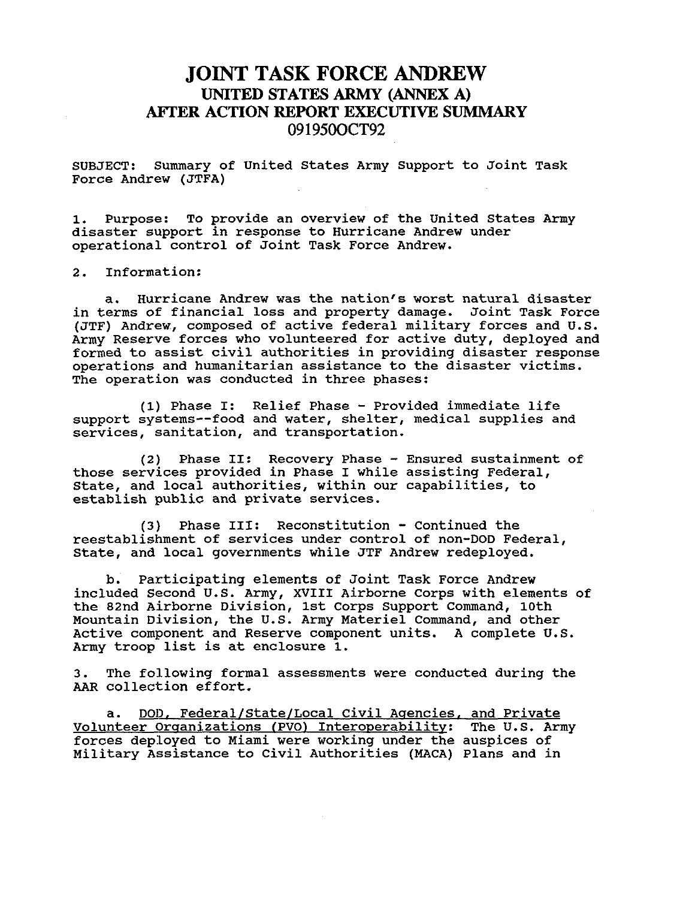## **JOINT TASK FORCE ANDREW UNITED STATES** *ARMY* **(ANNEX A) AFI'ER ACTION REPORT EXECUTIVE SUMMARY 09 195WCT92**

SUBJECT: Force Andrew (JTFA) Summary of United States Army Support to Joint Task

1. disaster support in response to Hurricane Andrew under operational control of Joint Task Force Andrew. Purpose: To provide an overview of the United States Army

*2.* Information:

a. Hurricane Andrew was the nation's worst natural disaster in terms of financial loss and property damage. Joint Task Force (JTF) Andrew, composed of active federal military forces and U.S. Army Reserve forces who volunteered for active duty, deployed and formed to assist civil authorities in providing disaster response operations and humanitarian assistance to the disaster victims. The operation was conducted in three phases:

(1) Phase I: Relief Phase - Provided immediate life support systems--food and water, shelter, medical supplies and services, sanitation, and transportation.

those services provided in Phase I while assisting Federal, State, and local authorities, within our capabilities, to establish public and private services. (2) Phase 11: Recovery Phase - Ensured sustainment of

reestablishment of services under control of non-DOD Federal, State, and local governments while JTF Andrew redeployed. **(3)** Phase 111: Reconstitution - Continued the

Participating elements of Joint Task Force Andrew included Second **U.S.** Army, XVIII Airborne Corps with elements of the 82nd Airborne Division, 1st Corps Support Command, 10th Mountain Division, the U.S. Army Materiel Command, and other Active component and Reserve component units. A complete U.S. Army troop list is at enclosure 1. b.

3. The following formal assessments were conducted during the *AAR* collection effort.

a. DOD, Federal/State/Local Civil Agencies, and Private Volunteer Organizations (PVO) Interoperability: The U.S. Army forces deployed to Miami were working under the auspices of Military Assistance to Civil Authorities (MACA) Plans and in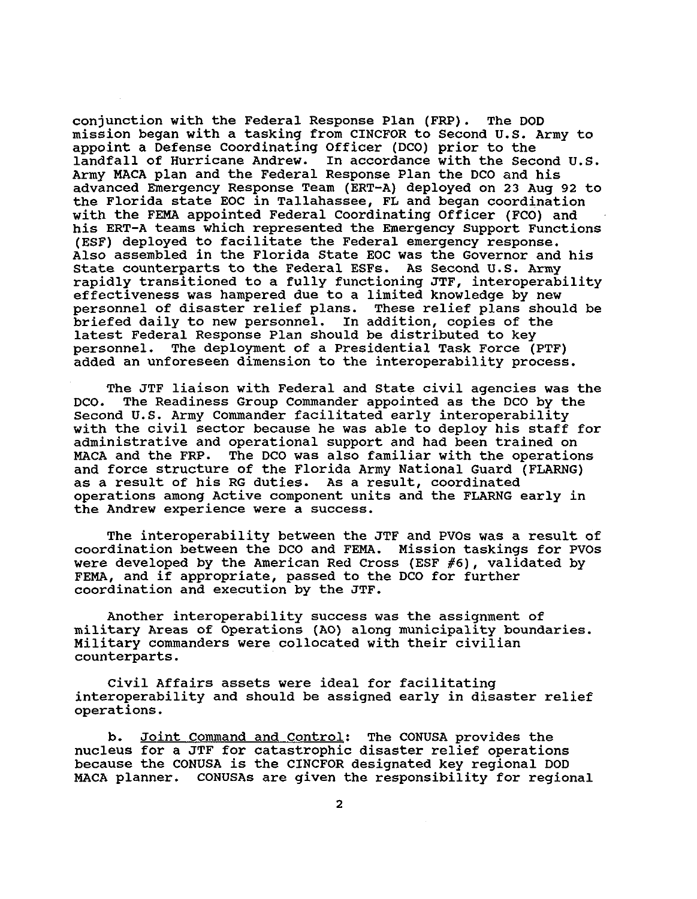conjunction with the Federal Response Plan (FRP). The DOD mission began with a tasking from CINCFOR to Second U.S. Army to appoint a Defense Coordinating Officer (DCO) prior to the In accordance with the Second U.S. Army MACA plan and the Federal Response Plan the DCO and his advanced Emergency Response Team (ERT-A) deployed on 23 Aug 92 to the Florida state EOC in Tallahassee, FL and began coordination with the FEMA appointed Federal Coordinating Officer (FCO) and his ERT-A teams which represented the Emergency Support Functions (ESF) deployed to facilitate the Federal emergency response. Also assembled in the Florida State EOC was the Governor and his State counterparts to the Federal ESFs. As Second U.S. Army rapidly transitioned to a fully functioning JTF, interoperability effectiveness was hampered due to a limited knowledge by new<br>personnel of disaster relief plans. These relief plans should be personnel of disaster relief plans. briefed daily to new personnel. In addition, copies of the latest Federal Response Plan should be distributed to key personnel. The deployment of a Presidential Task Force (PTF) added an unforeseen dimension to the interoperability process.

The JTF liaison with Federal and State civil agencies was the DCO. The Readiness Group Commander appointed as the DCO by the Second U.S. Army Commander facilitated early interoperability with the civil sector because he was able to deploy his staff for administrative and operational support and had been trained on MACA and the FRP. The DCO was also familiar with the operations and force structure of the Florida Army National Guard (FLARNG) as a result of his RG duties. As a result, coordinated operations among Active component units and the FLARNG early in the Andrew experience were a success.

The interoperability between the JTF and PVOs was a result of coordination between the DCO and FEMA. Mission taskings for PVOs were developed by the American Red Cross (ESF *#6),* validated by FEMA, and if appropriate, passed to the DCO for further coordination and execution by the JTF.

military Areas of Operations (AO) along municipality boundaries. Military commanders were collocated with their civilian counterparts. Another interoperability success was the assignment of

interoperability and should be assigned early in disaster relief operations. Civil Affairs assets were ideal for facilitating

b. Joint Command and Control: The CONUSA provides the nucleus for a JTF for catastrophic disaster relief operations because the CONUSA is the CINCFOR designated key regional DOD MACA planner. CONUSAs are given the responsibility for regional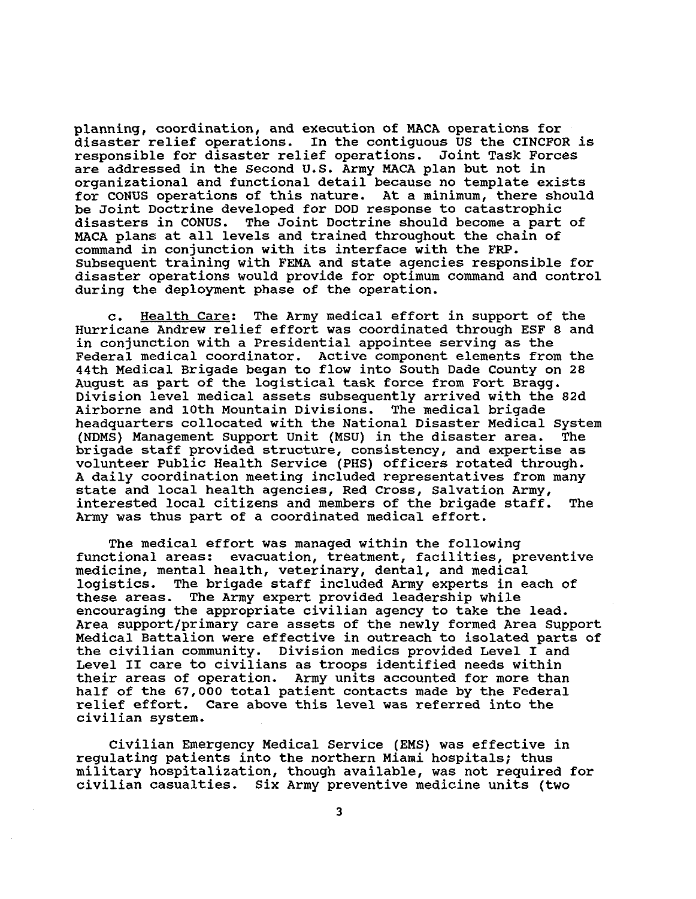planning, coordination, and execution of MACA operations for disaster relief operations. In the contiguous US the CINCFOR is responsible for disaster relief operations. Joint Task Forces are addressed in the Second U.S. Army MACA plan but not in organizational and functional detail because no template exists for CONUS operations of this nature. At a minimum, there should be Joint Doctrine developed for DOD response to catastrophic<br>disasters in CONUS. The Joint Doctrine should become a part The Joint Doctrine should become a part of MACA plans at all levels and trained throughout the chain of command in conjunction with its interface with the **FRP.**  Subsequent training with FEMA and state agencies responsible for disaster operations would provide for optimum command and control during the deployment phase of the operation.

Hurricane Andrew relief effort was coordinated through ESF *8* and in conjunction with a Presidential appointee serving as the Federal medical coordinator. Active component elements from the 44th Medical Brigade began to flow into South Dade County on *28*  August as part of the logistical task force from Fort Bragg. Division level medical assets subsequently arrived with the 82d<br>Airborne and 10th Mountain Divisions. The medical brigade Airborne and 10th Mountain Divisions. headquarters collocated with the National Disaster Medical System<br>(NDMS) Management Support Unit (MSU) in the disaster area. The (NDMS) Management Support Unit (MSU) in the disaster area. brigade staff provided structure, consistency, and expertise as volunteer Public Health Service (PHS) officers rotated through. A daily coordination meeting included representatives from many state and local health agencies, Red Cross, Salvation Army, interested local citizens and members of the brigade staff. The Army was thus part of a coordinated medical effort. c. Health Care: The Army medical effort in support of the

functional areas: evacuation, treatment, facilities, preventive medicine, mental health, veterinary, dental, and medical<br>logistics. The brigade staff included Army experts in ea The brigade staff included Army experts in each of these areas. The Army expert provided leadership while encouraging the appropriate civilian agency to take the lead. Area support/primary care assets of the newly formed Area Support Medical Battalion were effective in outreach to isolated parts of the civilian community. Division medics provided Level I and Level I1 care to civilians as troops identified needs within their areas of operation. Army units accounted for more than half of the 67,000 total patient contacts made by the Federal relief effort. Care above this level was referred into the civilian system. The medical effort was managed within the following

Civilian Emergency Medical Service **(EMS)** was effective in regulating patients into the northern Miami hospitals; thus military hospitalization, though available, was not required for civilian casualties. Six Army preventive medicine units (two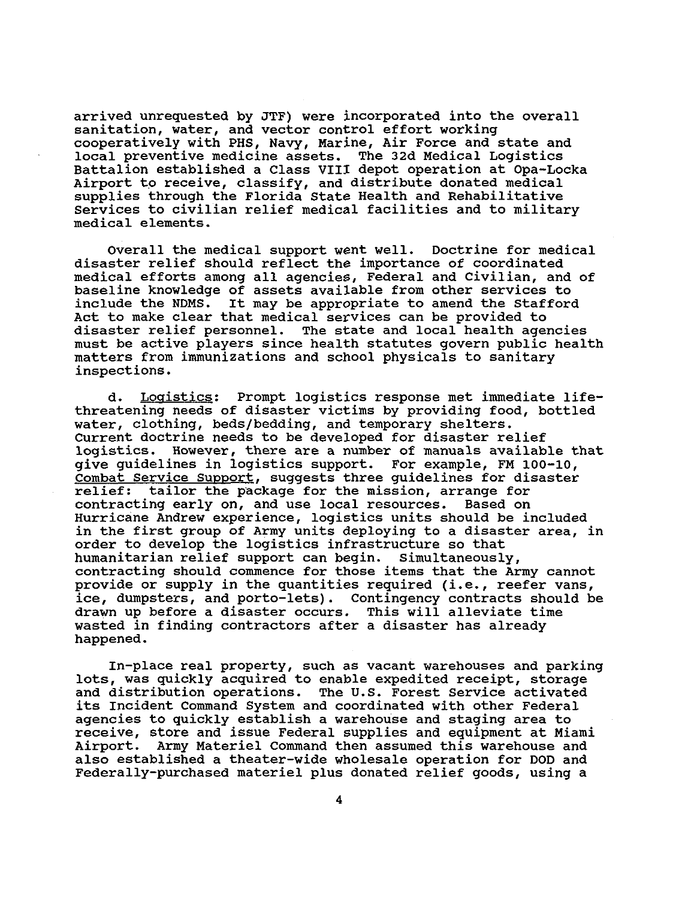arrived unrequested by JTF) were incorporated into the overall sanitation, water, and vector control effort working cooperatively with PHS, Navy, Marine, Air Force and state and local preventive medicine assets. The 32d Medical Logistics Battalion established a Class VIII depot operation at Opa-Locka Airport to receive, classify, and distribute donated medical supplies through the Florida State Health and Rehabilitative Services to civilian relief medical facilities and to military medical elements.

Overall the medical support went well. Doctrine for medical disaster relief should reflect the importance of coordinated medical efforts among all agencies, Federal and Civilian, and of baseline knowledge of assets available from other services to include the NDMS. It may be appropriate to amend the Stafford Act to make clear that medical services can be provided to disaster relief personnel. must be active players since health statutes govern public health matters from immunizations and school physicals to sanitary inspections. The state and local health agencies

threatening needs of disaster victims by providing food, bottled water, clothing, beds/bedding, and temporary shelters. Current doctrine needs to be developed for disaster relief logistics. However, there are a number of manuals available that give guidelines in logistics support. For example, FM 100-10, Combat Service Support, suggests three guidelines for disaster relief: tailor the package for the mission, arrange for contracting early on, and use local resources. Based on Hurricane Andrew experience, logistics units should be included in the first group of Army units deploying to a disaster area, in order to develop the logistics infrastructure so that humanitarian relief support can begin. Simultaneously, contracting should commence for those items that the Army cannot provide or supply in the quantities required (i.e., reefer vans, ice, dumpsters, and porto-lets). Contingency contracts should be drawn up before a disaster occurs. This will alleviate time wasted in finding contractors after a disaster has already happened. d. Logistics: Prompt logistics response met immediate life-

lots, was quickly acquired to enable expedited receipt, storage and distribution operations. The U.S. Forest Service activated its Incident Command System and coordinated with other Federal agencies to quickly establish a warehouse and staging area to receive, store and issue Federal supplies and equipment at Miami Airport. Army Materiel Command then assumed this warehouse and also established a theater-wide wholesale operation for DOD and Federally-purchased materiel plus donated relief goods, using a In-place real property, such as vacant warehouses and parking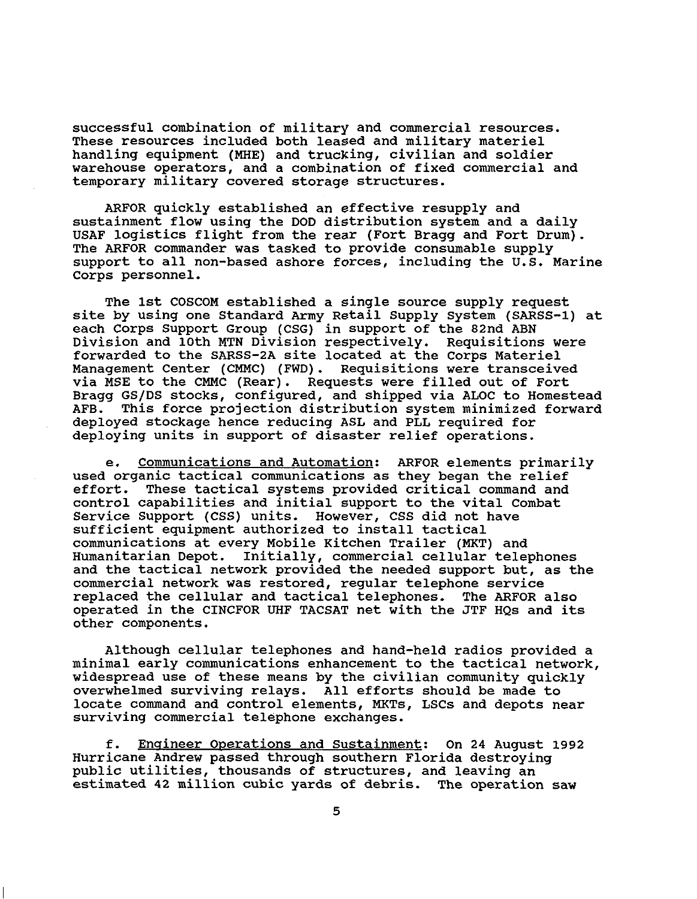successful combination of military and commercial resources. These resources included both leased and military materiel handling equipment (MHE) and trucking, civilian and soldier warehouse operators, and a combination of fixed commercial and temporary military covered storage structures.

ARFOR quickly established an effective resupply and sustainment flow using the DOD distribution system and a daily USAF logistics flight from the rear (Fort Bragg and Fort Drum). The ARFOR commander was tasked to provide consumable supply support to all non-based ashore forces, including the U.S. Marine Corps personnel.

The 1st COSCOM established a single source supply request site by using one Standard Army Retail Supply System (SARSS-1) at each Corps Support Group (CSG) in support of the 82nd ABN Division and 10th MTN Division respectively. forwarded to the SARSS-2A site located at the Corps Materiel Management Center (CMMC) (FWD). Requisitions were transceived via MSE to the CMMC (Rear). Requests were filled out of Fort Bragg GS/DS stocks, configured, and shipped via ALOC to Homestead<br>AFB. This force projection distribution system minimized forward This force projection distribution system minimized forward deployed stockage hence reducing ASL and PLL required for deploying units in support of disaster relief operations. Requisitions were

used organic tactical communications as they began the relief effort. These tactical systems provided critical command and control capabilities and initial support to the vital Combat Service Support (CSS) units. However, CSS did not have sufficient equipment authorized to install tactical communications at every Mobile Kitchen Trailer (MKT) and Humanitarian Depot. Initially, commercial cellular telephones and the tactical network provided the needed support but, as the commercial network was restored, regular telephone service replaced the cellular and tactical telephones. operated in the CINCFOR UHF TACSAT net with the JTF **HQs** and its other components. e. Communications and Automation: ARFOR elements primarily

minimal early communications enhancement to the tactical network, widespread use of these means by the civilian community quickly overwhelmed surviving relays. All efforts should be made to locate command and control elements, MKTs, LSCs and depots near surviving commercial telephone exchanges. Although cellular telephones and hand-held radios provided a

f. Engineer Operations and Sustainment: On 24 August 1992 Hurricane Andrew passed through southern Florida destroying public utilities, thousands of structures, and leaving an estimated 42 million cubic yards of debris. The operation saw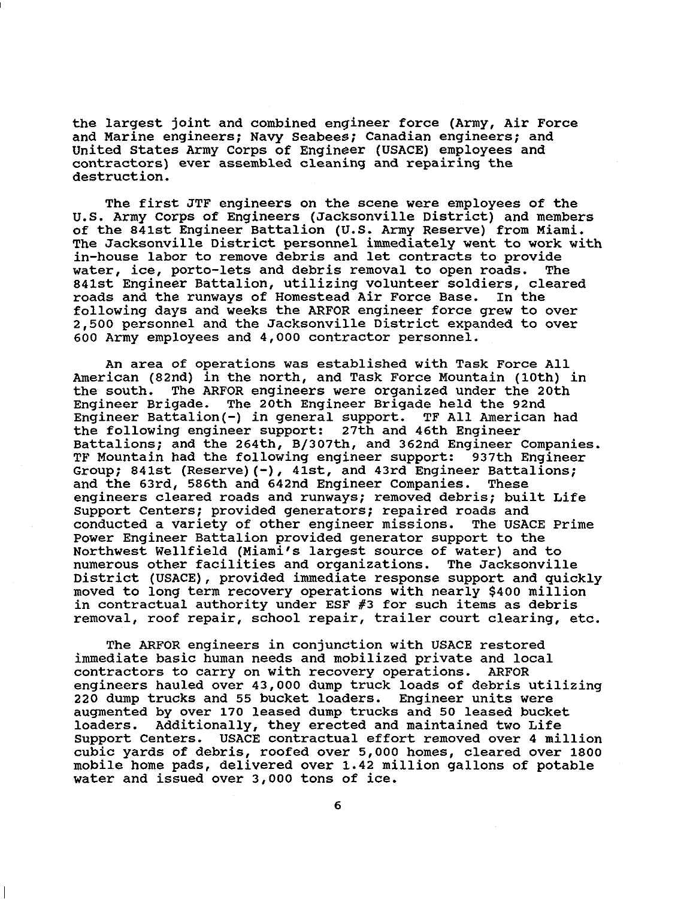the largest joint and combined engineer force (Army, Air Force and Marine engineers; Navy Seabees; Canadian engineers; and United States Army Corps of Engineer (USACE) employees and contractors) ever assembled cleaning and repairing the destruction.

The first JTF engineers on the scene were employees of the U.S. Army Corps of Engineers (Jacksonville District) and members of the 841st Engineer Battalion **(U.S.** Army Reserve) from Miami. The Jacksonville District personnel immediately went to work with in-house labor to remove debris and let contracts to provide<br>water, ice, porto-lets and debris removal to open roads. The water, ice, porto-lets and debris removal to open roads. 841st Engineer Battalion, utilizing volunteer soldiers, cleared roads and the runways of Homestead Air Force Base. In the following days and weeks the ARFOR engineer force grew to over 2,500 personnel and the Jacksonville District expanded to over 600 Army employees and 4,000 contxactor personnel.

An area of operations was established with Task Force All American (82nd) in the north, and Task Force Mountain (10th) in the south. The ARFOR engineers were organized under the 20th The ARFOR engineers were organized under the 20th Engineer Brigade. The 20th Engineer Brigade held the 92nd Engineer Battalion(-) in general support. TF All American had the following engineer support: 27th and 46th Engineer Battalions; and the 264th, B/307th, and 362nd Engineer Companies. TF Mountain had the following engineer support: 937th Engineer Group; 841st (Reserve)(-), 41st, and 43rd Engineer Battalions; and the 63rd, 586th and 642nd Engineer Companies. These engineers cleared roads and runways; removed debris; built Life Support Centers; provided generators; repaired roads and conducted a variety of other engineer missions. Power Engineer Battalion provided generator support to the Northwest Wellfield (Miami's largest source of water) and to numerous other facilities and organizations. District (USACE), provided immediate response support and quickly moved to long term recovery operations with nearly \$400 million in contractual authority under ESF **#3** for such items as debris removal, roof repair, school repair, trailer court clearing, etc. The USACE Prime The Jacksonville

immediate basic human needs and mobilized private and local contractors to carry on with recovery operations. engineers hauled over 43,000 dump truck loads of debris utilizing 220 dump trucks and 55 bucket loaders. Engineer units were augmented by over 170 leased dump trucks and 50 leased bucket Additionally, they erected and maintained two Life Support Centers. USACE contractual effort removed over 4 million cubic yards of debris, roofed over 5,000 homes, cleared over 1800 mobile home pads, delivered over 1.42 million gallons of potable water and issued over 3,000 tons of ice. The ARFOR engineers in conjunction with USACE restored ARFOR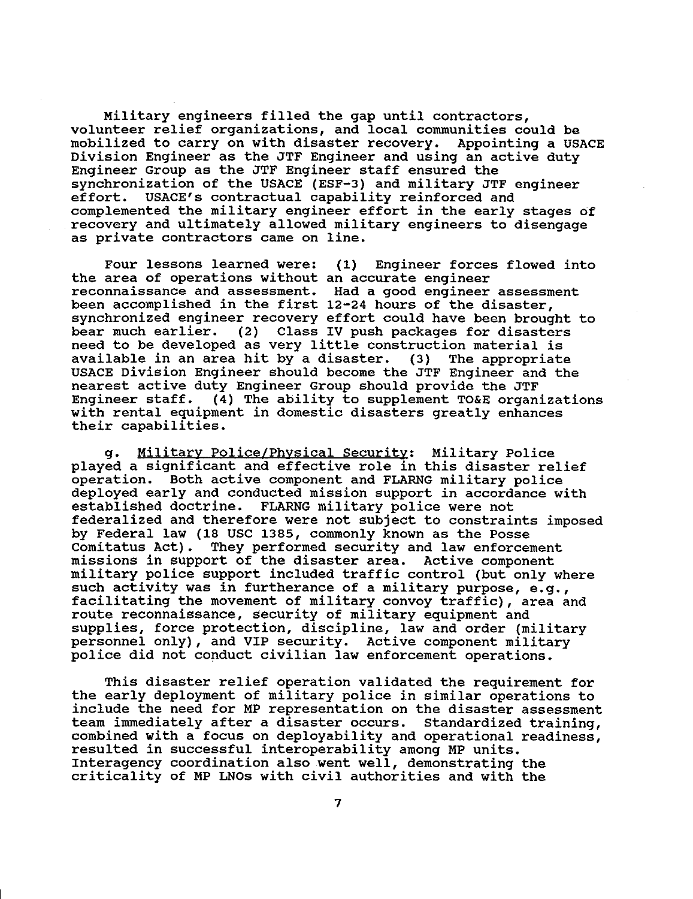Military engineers filled the gap until contractors, volunteer relief organizations, and local communities could be mobilized to carry on with disaster recovery. Appointing a USACE Division Engineer as the JTF Engineer and using an active duty Engineer Group as the JTF Engineer staff ensured the synchronization of the USACE (ESF-3) and military JTF engineer effort. USACE'S contractual capability reinforced and complemented the military engineer effort in the early stages of recovery and ultimately allowed military engineers to disengage as private contractors came on line.

the area of operations without an accurate engineer reconnaissance and assessment. Had a good engineer assessment been accomplished in the first 12-24 hours of the disaster, synchronized engineer recovery effort could have been brought to bear much earlier. (2) Class IV push packages for disasters need to be developed as very little construction material is available in an area hit by a disaster. **(3)** The appropriate USACE Division Engineer should become the JTF Engineer and the nearest active duty Engineer Group should provide the JTF Engineer staff. **(4)** The ability to supplement TO&E organizations with rental equipment in domestic disasters greatly enhances their capabilities. Four lessons learned were: (1) Engineer forces flowed into

g. Militarv Police/Phvsical Securitv: Military Police played a significant and effective role in this disaster relief operation. Both active component and FLARNG military police deployed early and conducted mission support in accordance with established doctrine. FLARNG military police were not federalized and therefore were not subject to constraints imposed by Federal law (18 USC 1385, commonly known as the Posse Comitatus Act). They performed security and law enforce They performed security and law enforcement missions in support of the disaster area. Active component military police support included traffic control (but only where such activity was in furtherance of a military purpose, e.g., facilitating the movement of military convoy traffic), area and route reconnaissance, security of military equipment and supplies, force protection, discipline, law and order (military personnel only), and VIP security. Active component military police did not conduct civilian law enforcement operations.

This disaster relief operation validated the requirement for the early deployment of military police in similar operations to include the need for MP representation on the disaster assessment team immediately after a disaster occurs. Standardized training, combined with a focus on deployability and operational readiness, resulted in successful interoperability among MP units. Interagency coordination also went well, demonstrating the criticality of MP **LNOs** with civil authorities and with the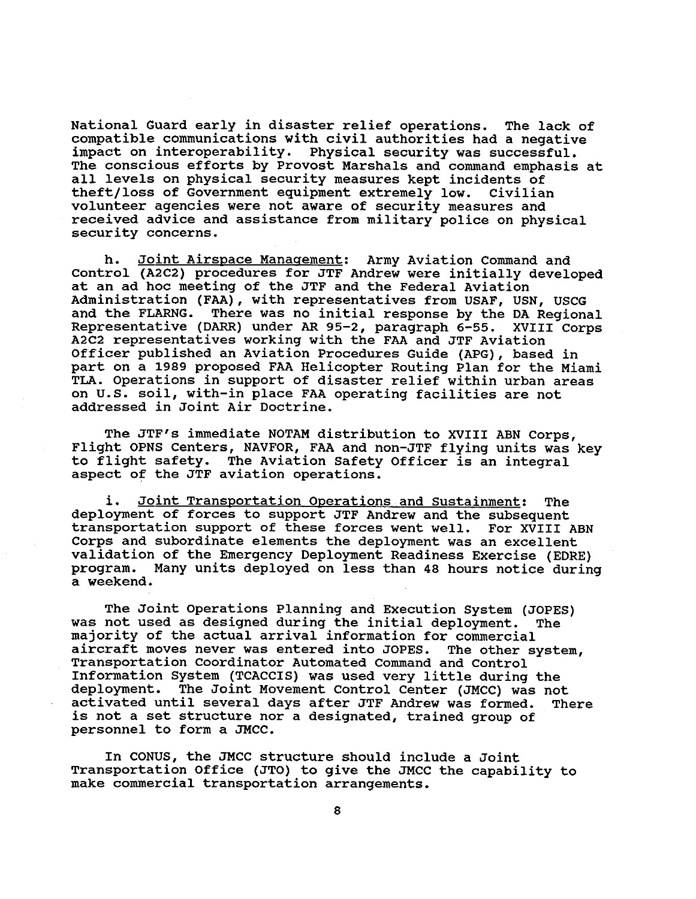National Guard early in disaster relief operations. compatible communications with civil authorities had a negative impact on interoperability. Physical security was successful. The conscious efforts by Provost Marshals and command emphasis at all levels on physical security measures kept incidents of theft/loss of Government equipment extremely low. volunteer agencies were not aware of security measures and received advice and assistance from military police on physical security concerns. The lack of Civilian

h. Joint Airspace Management: Army Aviation Command and Control (A2C2) procedures for JTF Andrew were initially developed at an ad hoc meeting of the JTF and the Federal Aviation Administration (FAA), with representatives from USAF, USN, USCG<br>and the FLARNG. There was no initial response by the DA Regiona There was no initial response by the DA Regional Representative (DARR) under *AR* 95-2, paragraph 6-55. XVIII Corps A2C2 representatives working with the FAA and JTF Aviation Officer published an Aviation Procedures Guide (APG), based in part on a 1989 proposed FAA Helicopter Routing Plan for the Miami TLA. Operations in support of disaster relief within urban areas on U.S. soil, with-in place FAA operating facilities are not addressed in Joint Air Doctrine.

The JTF's immediate NOTAM distribution to XVIII ABN Corps, Flight OPNS Centers, NAVFOR, FAA and non-JTF flying units was key to flight safety. The Aviation Safety Officer is an integral aspect of the JTF aviation operations.

i. Joint Transportation Operations and Sustainment: The deployment of forces to support JTF Andrew and the subsequent transportation support of these forces went well. For XVIII ABN Corps and subordinate elements the deployment was an excellent validation of the Emergency Deployment Readiness Exercise (EDRE) program. a weekend. Many units deployed on less than 48 hours notice during

The Joint Operations Planning and Execution System (JOPES) was not used as designed during the initial deployment. The majority of the actual arrival information for commercial aircraft moves never was entered into JOPES. Transportation Coordinator Automated Command and Control Information System (TCACCIS) was used very little during the deployment. The Joint Movement Control Center (JMCC) was not activated until several days after JTF Andrew was formed. There is not a set structure nor a designated, trained group of personnel to form a JMCC. The other system,

Transportation Office (JTO) to give the JMCC the capability to make commercial transportation arrangements. In CONUS, the JMCC structure should include a Joint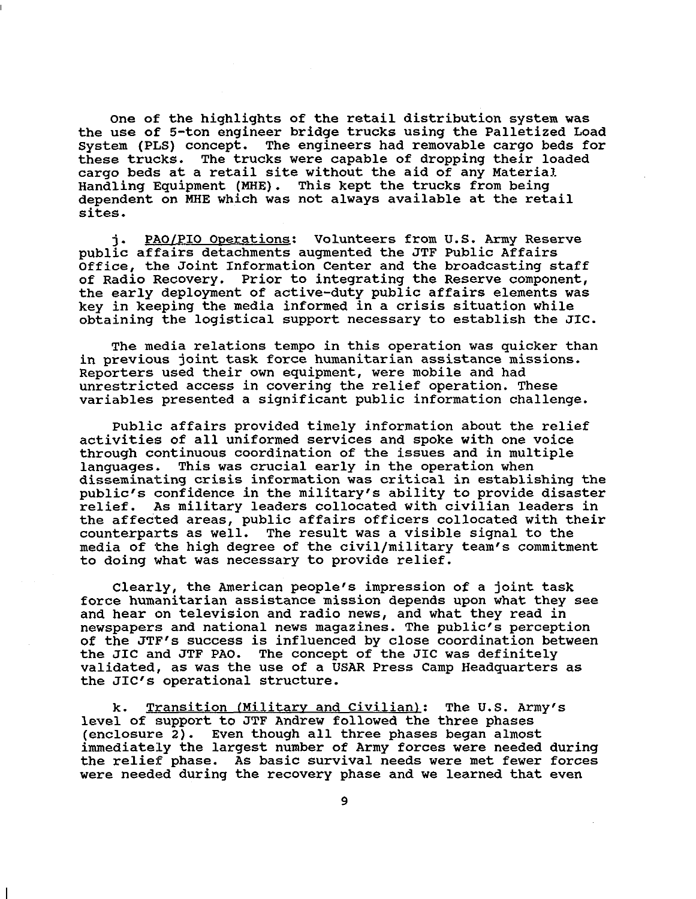One of the highlights of the retail distribution system was the use of 5-ton engineer bridge trucks using the Palletized Load<br>System (PLS) concept. The engineers had removable cargo beds for The engineers had removable cargo beds for these trucks. The trucks were capable of dropping their loaded cargo beds at a retail site without the aid of any Material. Handling Equipment (MHE). This kept the trucks from being dependent on MHE which was not always available at the retail sites.

j. PAOfPIO Onerations: Volunteers from U.S. Army Reserve public affairs detachments augmented the JTF Public Affairs Office, the Joint Information Center and the broadcasting staff of Radio Recovery. Prior to integrating the Reserve component, the early deployment of active-duty public affairs elements was key in keeping the media informed in a crisis situation while obtaining the logistical support necessary to establish the JIC.

The media relations tempo in this operation was quicker than in previous joint task force humanitarian assistance missions. Reporters used their own equipment, were mobile and had unrestricted access in covering the relief operation. These variables presented a significant public information challenge.

Public affairs provided timely information about the relief activities of all uniformed services and spoke with one voice through continuous coordination of the issues and in multiple languages. This was crucial early in the operation when disseminating crisis information was critical in establishing the public's confidence in the military's ability to provide disaster relief. As military leaders collocated with civilian leaders in the affected areas, public affairs officers collocated with their counterparts as well. The result was a visible signal to the media of the high degree of the civil/military team's commitment to doing what was necessary to provide relief.

Clearly, the American people's impression of a joint task force humanitarian assistance mission depends upon what they see and hear on television and radio news, and what they read in newspapers and national news magazines. The public's perception of the JTP's success is influenced by close coordination between the JIC and JTF PAO. The concept of the JIC was definitely validated, as was the use of a USAR Press Camp Headquarters as the JIC's operational structure.

k. Transition (Militarv and Civilian): The **U.S.** Army's level of support to JTF Andrew followed the three phases (enclosure 2). Even though all three phases began almost immediately the largest number of Army forces were needed during the relief phase. As basic survival needs were met fewer forces were needed during the recovery phase and we learned that even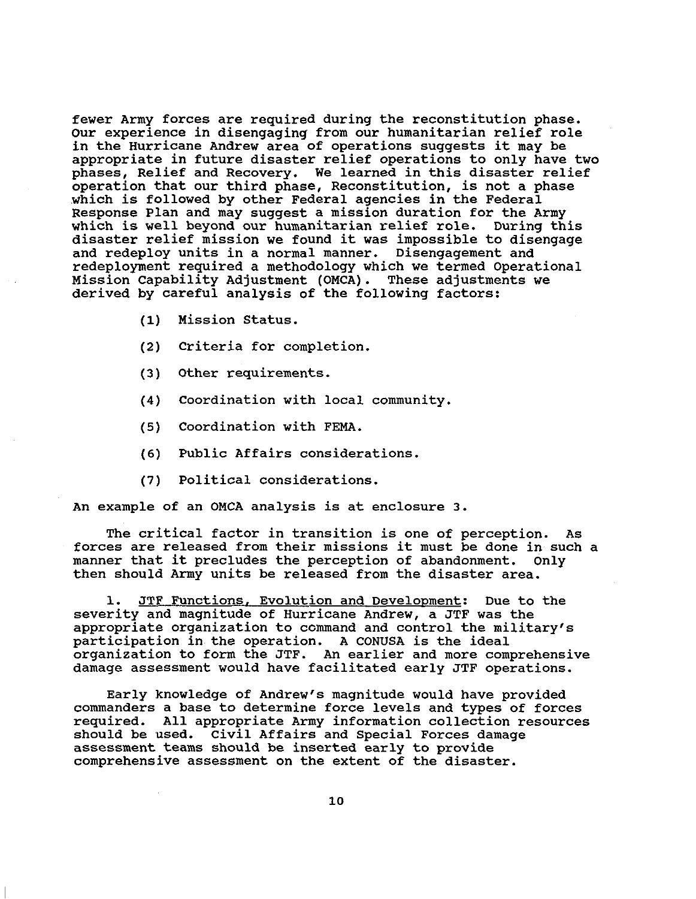fewer Army forces are required during the reconstitution phase. Our experience in disengaging from our humanitarian relief role in the Hurricane Andrew area of operations suggests it may be appropriate in future disaster relief operations to only have two phases, Relief and Recovery. We learned in this disaster relief operation that our third phase, Reconstitution, is not a phase which is followed by other Federal agencies in the Federal Response Plan and may suggest a mission duration for the Army which is well beyond our humanitarian relief role. During this disaster relief mission we found it was impossible to disengage and redeploy units in a normal manner. Disengagement and redeployment required a methodology which we termed Operational Mission Capability Adjustment (OMCA). These adjustments we derived by careful analysis of the following factors:

- (1) Mission Status.
- **(2)** criteria for completion.
- **(3)** Other requirements.
- **(4)** Coordination with local community.
- (5) Coordination with FEMA.
- (6) Public Affairs considerations.
- (7) Political considerations.

An example of an OMCA analysis is at enclosure 3.

forces are released from their missions it must be done in such a manner that it precludes the perception of abandonment. then should Army units be released from the disaster area. The critical factor in transition is one of perception. As Only

1. JTF Functions, Evolution and Development: Due to the severity and magnitude of Hurricane Andrew, a JTF was the appropriate organization to ccmmand and control the military's participation in the operation. A CONUSA is the ideal organization to form the JTF. An earlier and more comprehensive damage assessment would have facilitated early JTF operations.

commanders a base to determine force levels and types of forces required. All appropriate Army information collection resources should be used. Civil Affairs and Special Forces damage assessment teams should be inserted early to provide comprehensive assessment on the extent of the disaster. Early knowledge of Andrew's magnitude would have provided